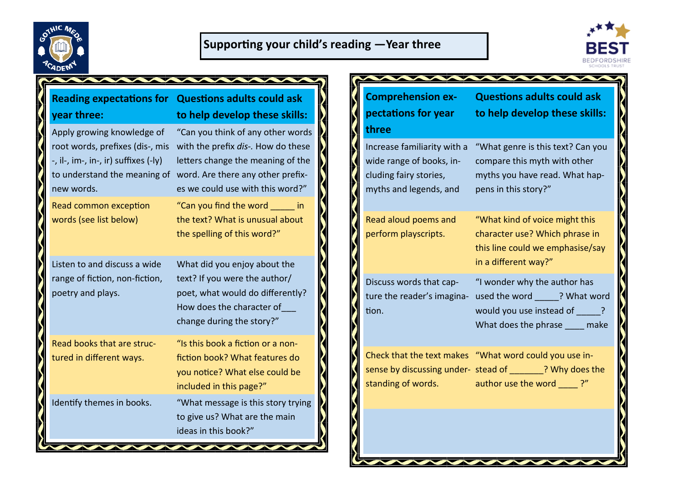



| vear three:                                                                                                                                  | <b>Reading expectations for Questions adults could ask</b><br>to help develop these skills:                                                                                                                                                            |
|----------------------------------------------------------------------------------------------------------------------------------------------|--------------------------------------------------------------------------------------------------------------------------------------------------------------------------------------------------------------------------------------------------------|
| Apply growing knowledge of<br>root words, prefixes (dis-, mis<br>-, il-, im-, in-, ir) suffixes (-ly)<br>new words.<br>Read common exception | "Can you think of any other words<br>with the prefix dis-. How do these<br>letters change the meaning of the<br>to understand the meaning of word. Are there any other prefix-<br>es we could use with this word?"<br>"Can you find the word ______ in |
| words (see list below)<br>Listen to and discuss a wide                                                                                       | the text? What is unusual about<br>the spelling of this word?"<br>What did you enjoy about the                                                                                                                                                         |
| range of fiction, non-fiction,<br>poetry and plays.                                                                                          | text? If you were the author/<br>poet, what would do differently?<br>How does the character of<br>change during the story?"                                                                                                                            |
| Read books that are struc-<br>tured in different ways.                                                                                       | "Is this book a fiction or a non-<br>fiction book? What features do<br>you notice? What else could be<br>included in this page?"                                                                                                                       |
| Identify themes in books.                                                                                                                    | "What message is this story trying<br>to give us? What are the main<br>ideas in this book?"                                                                                                                                                            |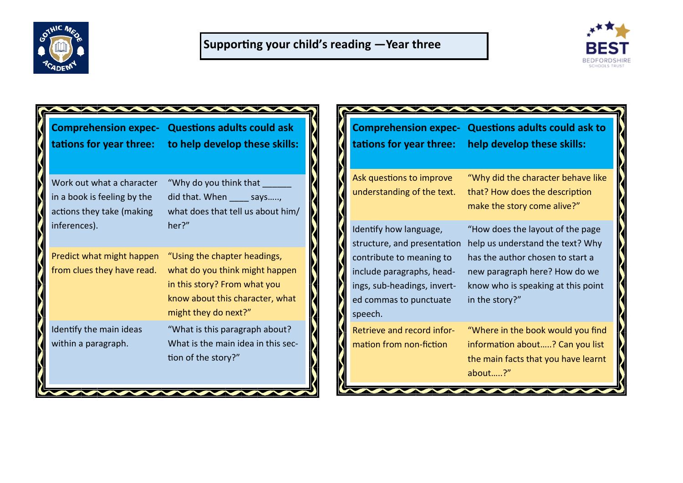



| <b>Comprehension expec-</b><br>tations for year three:                                | <b>Questions adults could ask</b><br>to help develop these skills:                                                                                        | <b>Comprehension expec-</b><br>tations for year three:                                                                    |
|---------------------------------------------------------------------------------------|-----------------------------------------------------------------------------------------------------------------------------------------------------------|---------------------------------------------------------------------------------------------------------------------------|
| Work out what a character<br>in a book is feeling by the<br>actions they take (making | "Why do you think that<br>did that. When ______ says,<br>what does that tell us about him/                                                                | Ask questions to improve<br>understanding of the text.                                                                    |
| inferences).                                                                          | her?"                                                                                                                                                     | Identify how language,<br>structure, and presentation                                                                     |
| Predict what might happen<br>from clues they have read.                               | "Using the chapter headings,<br>what do you think might happen<br>in this story? From what you<br>know about this character, what<br>might they do next?" | contribute to meaning to<br>include paragraphs, head-<br>ings, sub-headings, invert-<br>ed commas to punctuate<br>speech. |
| Identify the main ideas<br>within a paragraph.                                        | "What is this paragraph about?<br>What is the main idea in this sec-<br>tion of the story?"                                                               | Retrieve and record infor-<br>mation from non-fiction                                                                     |

**Questions adults could ask to help develop these skills:** "Why did the character behave like that? How does the description make the story come alive?" "How does the layout of the page on help us understand the text? Why has the author chosen to start a new paragraph here? How do we know who is speaking at this point in the story?"

"Where in the book would you find information about…..? Can you list the main facts that you have learnt about…..?"

**MANUMANA**